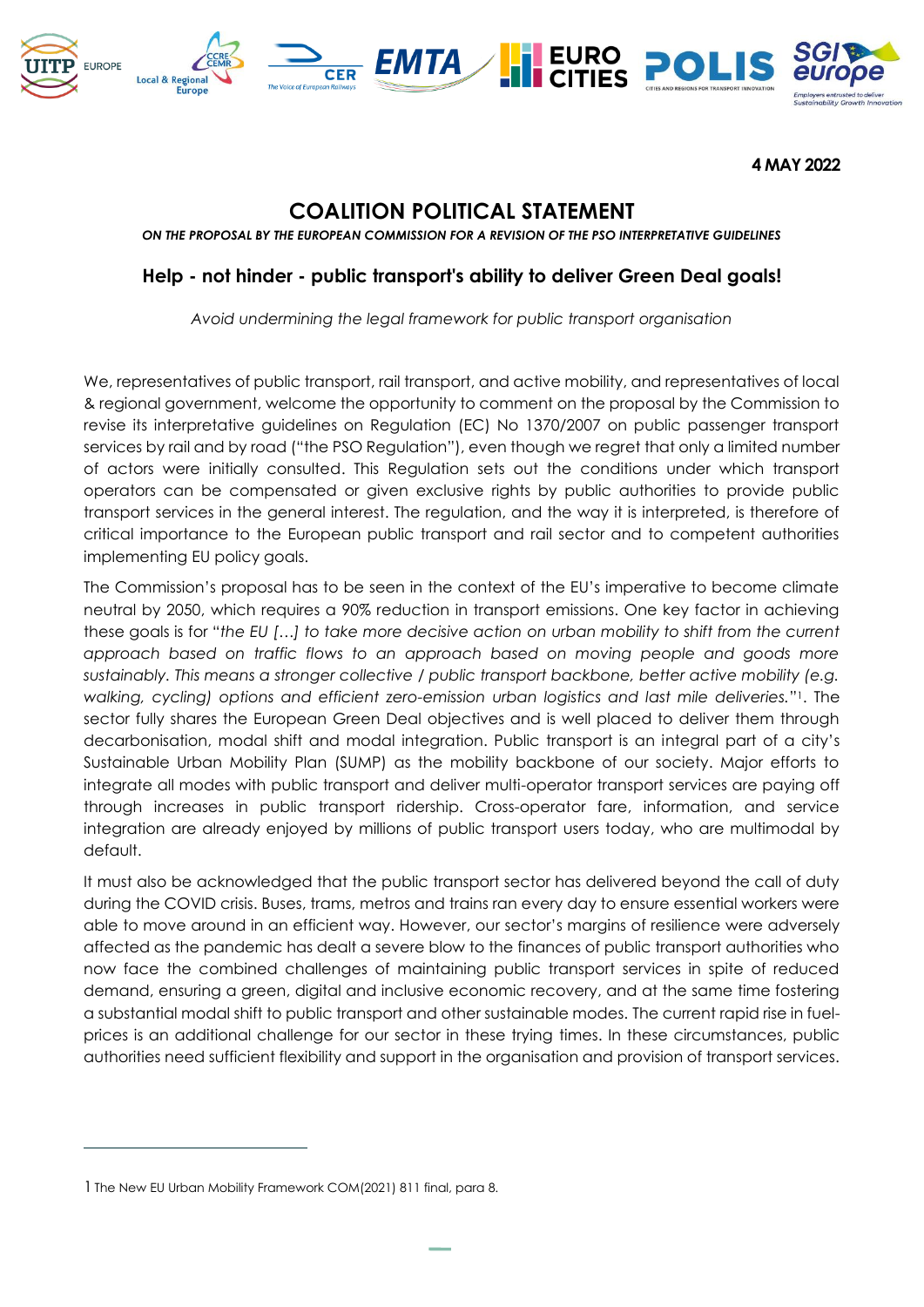

**4 MAY 2022**

# **COALITION POLITICAL STATEMENT**

*ON THE PROPOSAL BY THE EUROPEAN COMMISSION FOR A REVISION OF THE PSO INTERPRETATIVE GUIDELINES*

## **Help - not hinder - public transport's ability to deliver Green Deal goals!**

*Avoid undermining the legal framework for public transport organisation*

We, representatives of public transport, rail transport, and active mobility, and representatives of local & regional government, welcome the opportunity to comment on the proposal by the Commission to revise its interpretative guidelines on Regulation (EC) No 1370/2007 on public passenger transport services by rail and by road ("the PSO Regulation"), even though we regret that only a limited number of actors were initially consulted. This Regulation sets out the conditions under which transport operators can be compensated or given exclusive rights by public authorities to provide public transport services in the general interest. The regulation, and the way it is interpreted, is therefore of critical importance to the European public transport and rail sector and to competent authorities implementing EU policy goals.

The Commission's proposal has to be seen in the context of the EU's imperative to become climate neutral by 2050, which requires a 90% reduction in transport emissions. One key factor in achieving these goals is for "*the EU […] to take more decisive action on urban mobility to shift from the current*  approach based on traffic flows to an approach based on moving people and goods more *sustainably. This means a stronger collective / public transport backbone, better active mobility (e.g. walking, cycling) options and efficient zero-emission urban logistics and last mile deliveries.*" <sup>1</sup>. The sector fully shares the European Green Deal objectives and is well placed to deliver them through decarbonisation, modal shift and modal integration. Public transport is an integral part of a city's Sustainable Urban Mobility Plan (SUMP) as the mobility backbone of our society. Major efforts to integrate all modes with public transport and deliver multi-operator transport services are paying off through increases in public transport ridership. Cross-operator fare, information, and service integration are already enjoyed by millions of public transport users today, who are multimodal by default.

It must also be acknowledged that the public transport sector has delivered beyond the call of duty during the COVID crisis. Buses, trams, metros and trains ran every day to ensure essential workers were able to move around in an efficient way. However, our sector's margins of resilience were adversely affected as the pandemic has dealt a severe blow to the finances of public transport authorities who now face the combined challenges of maintaining public transport services in spite of reduced demand, ensuring a green, digital and inclusive economic recovery, and at the same time fostering a substantial modal shift to public transport and other sustainable modes. The current rapid rise in fuelprices is an additional challenge for our sector in these trying times. In these circumstances, public authorities need sufficient flexibility and support in the organisation and provision of transport services.

<sup>1</sup> The New EU Urban Mobility Framework COM(2021) 811 final, para 8.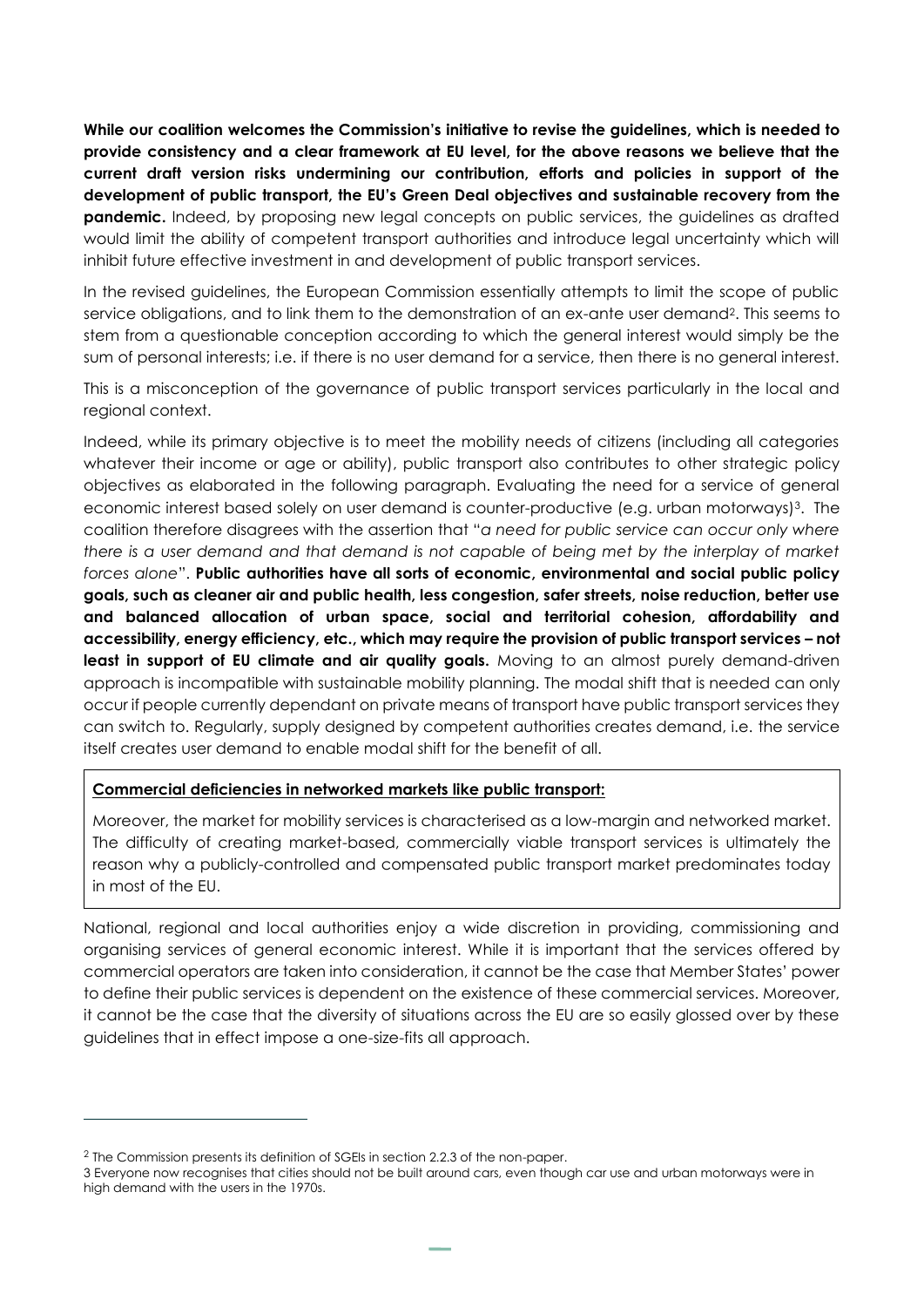**While our coalition welcomes the Commission's initiative to revise the guidelines, which is needed to provide consistency and a clear framework at EU level, for the above reasons we believe that the current draft version risks undermining our contribution, efforts and policies in support of the development of public transport, the EU's Green Deal objectives and sustainable recovery from the pandemic.** Indeed, by proposing new legal concepts on public services, the guidelines as drafted would limit the ability of competent transport authorities and introduce legal uncertainty which will inhibit future effective investment in and development of public transport services.

In the revised guidelines, the European Commission essentially attempts to limit the scope of public service obligations, and to link them to the demonstration of an ex-ante user demand<sup>2</sup>. This seems to stem from a questionable conception according to which the general interest would simply be the sum of personal interests; i.e. if there is no user demand for a service, then there is no general interest.

This is a misconception of the governance of public transport services particularly in the local and regional context.

Indeed, while its primary objective is to meet the mobility needs of citizens (including all categories whatever their income or age or ability), public transport also contributes to other strategic policy objectives as elaborated in the following paragraph. Evaluating the need for a service of general economic interest based solely on user demand is counter-productive (e.g. urban motorways)<sup>3</sup>. The coalition therefore disagrees with the assertion that "*a need for public service can occur only where there is a user demand and that demand is not capable of being met by the interplay of market forces alone*". **Public authorities have all sorts of economic, environmental and social public policy goals, such as cleaner air and public health, less congestion, safer streets, noise reduction, better use and balanced allocation of urban space, social and territorial cohesion, affordability and accessibility, energy efficiency, etc., which may require the provision of public transport services – not**  least in support of EU climate and air quality goals. Moving to an almost purely demand-driven approach is incompatible with sustainable mobility planning. The modal shift that is needed can only occur if people currently dependant on private means of transport have public transport services they can switch to. Regularly, supply designed by competent authorities creates demand, i.e. the service itself creates user demand to enable modal shift for the benefit of all.

### **Commercial deficiencies in networked markets like public transport:**

Moreover, the market for mobility services is characterised as a low-margin and networked market. The difficulty of creating market-based, commercially viable transport services is ultimately the reason why a publicly-controlled and compensated public transport market predominates today in most of the EU.

National, regional and local authorities enjoy a wide discretion in providing, commissioning and organising services of general economic interest. While it is important that the services offered by commercial operators are taken into consideration, it cannot be the case that Member States' power to define their public services is dependent on the existence of these commercial services. Moreover, it cannot be the case that the diversity of situations across the EU are so easily glossed over by these guidelines that in effect impose a one-size-fits all approach.

<sup>2</sup> The Commission presents its definition of SGEIs in section 2.2.3 of the non-paper.

<sup>3</sup> Everyone now recognises that cities should not be built around cars, even though car use and urban motorways were in high demand with the users in the 1970s.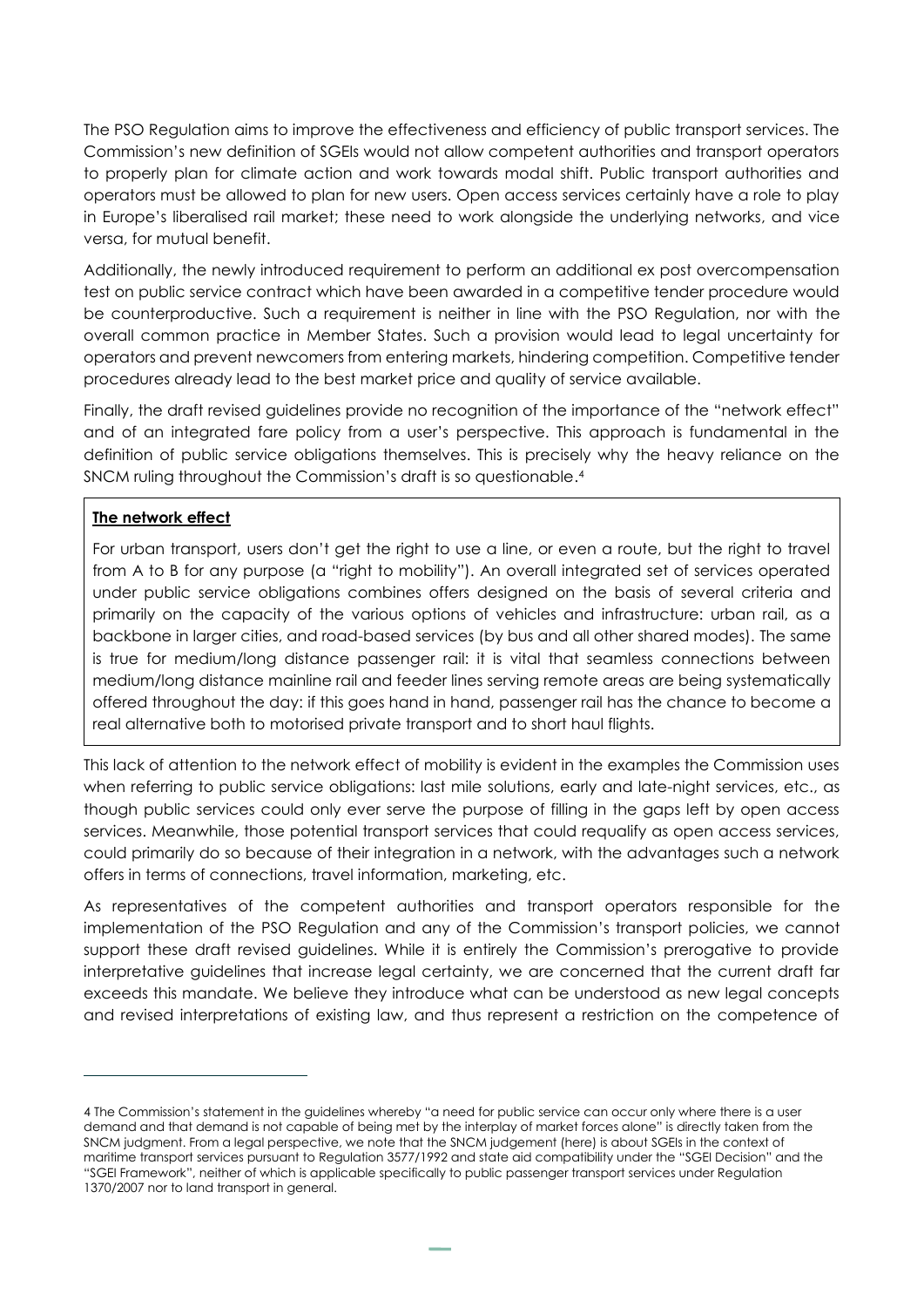The PSO Regulation aims to improve the effectiveness and efficiency of public transport services. The Commission's new definition of SGEIs would not allow competent authorities and transport operators to properly plan for climate action and work towards modal shift. Public transport authorities and operators must be allowed to plan for new users. Open access services certainly have a role to play in Europe's liberalised rail market; these need to work alongside the underlying networks, and vice versa, for mutual benefit.

Additionally, the newly introduced requirement to perform an additional ex post overcompensation test on public service contract which have been awarded in a competitive tender procedure would be counterproductive. Such a requirement is neither in line with the PSO Regulation, nor with the overall common practice in Member States. Such a provision would lead to legal uncertainty for operators and prevent newcomers from entering markets, hindering competition. Competitive tender procedures already lead to the best market price and quality of service available.

Finally, the draft revised guidelines provide no recognition of the importance of the "network effect" and of an integrated fare policy from a user's perspective. This approach is fundamental in the definition of public service obligations themselves. This is precisely why the heavy reliance on the SNCM ruling throughout the Commission's draft is so questionable. 4

### **The network effect**

For urban transport, users don't get the right to use a line, or even a route, but the right to travel from A to B for any purpose (a "right to mobility"). An overall integrated set of services operated under public service obligations combines offers designed on the basis of several criteria and primarily on the capacity of the various options of vehicles and infrastructure: urban rail, as a backbone in larger cities, and road-based services (by bus and all other shared modes). The same is true for medium/long distance passenger rail: it is vital that seamless connections between medium/long distance mainline rail and feeder lines serving remote areas are being systematically offered throughout the day: if this goes hand in hand, passenger rail has the chance to become a real alternative both to motorised private transport and to short haul flights.

This lack of attention to the network effect of mobility is evident in the examples the Commission uses when referring to public service obligations: last mile solutions, early and late-night services, etc., as though public services could only ever serve the purpose of filling in the gaps left by open access services. Meanwhile, those potential transport services that could requalify as open access services, could primarily do so because of their integration in a network, with the advantages such a network offers in terms of connections, travel information, marketing, etc.

As representatives of the competent authorities and transport operators responsible for the implementation of the PSO Regulation and any of the Commission's transport policies, we cannot support these draft revised guidelines. While it is entirely the Commission's prerogative to provide interpretative guidelines that increase legal certainty, we are concerned that the current draft far exceeds this mandate. We believe they introduce what can be understood as new legal concepts and revised interpretations of existing law, and thus represent a restriction on the competence of

<sup>4</sup> The Commission's statement in the guidelines whereby "a need for public service can occur only where there is a user demand and that demand is not capable of being met by the interplay of market forces alone" is directly taken from the SNCM judgment. From a legal perspective, we note that the SNCM judgement (here) is about SGEIs in the context of maritime transport services pursuant t[o Regulation 3577/1992](https://eur-lex.europa.eu/legal-content/EN/TXT/?uri=CELEX%3A01992R3577-20130701) and state aid compatibility under the "[SGEI Decision](https://eur-lex.europa.eu/legal-content/EN/ALL/?uri=CELEX%3A32012D0021)" and the "[SGEI Framework](https://eur-lex.europa.eu/legal-content/EN/ALL/?uri=CELEX%3A52012XC0111(03))", neither of which is applicable specifically to public passenger transport services under Regulation 1370/2007 nor to land transport in general.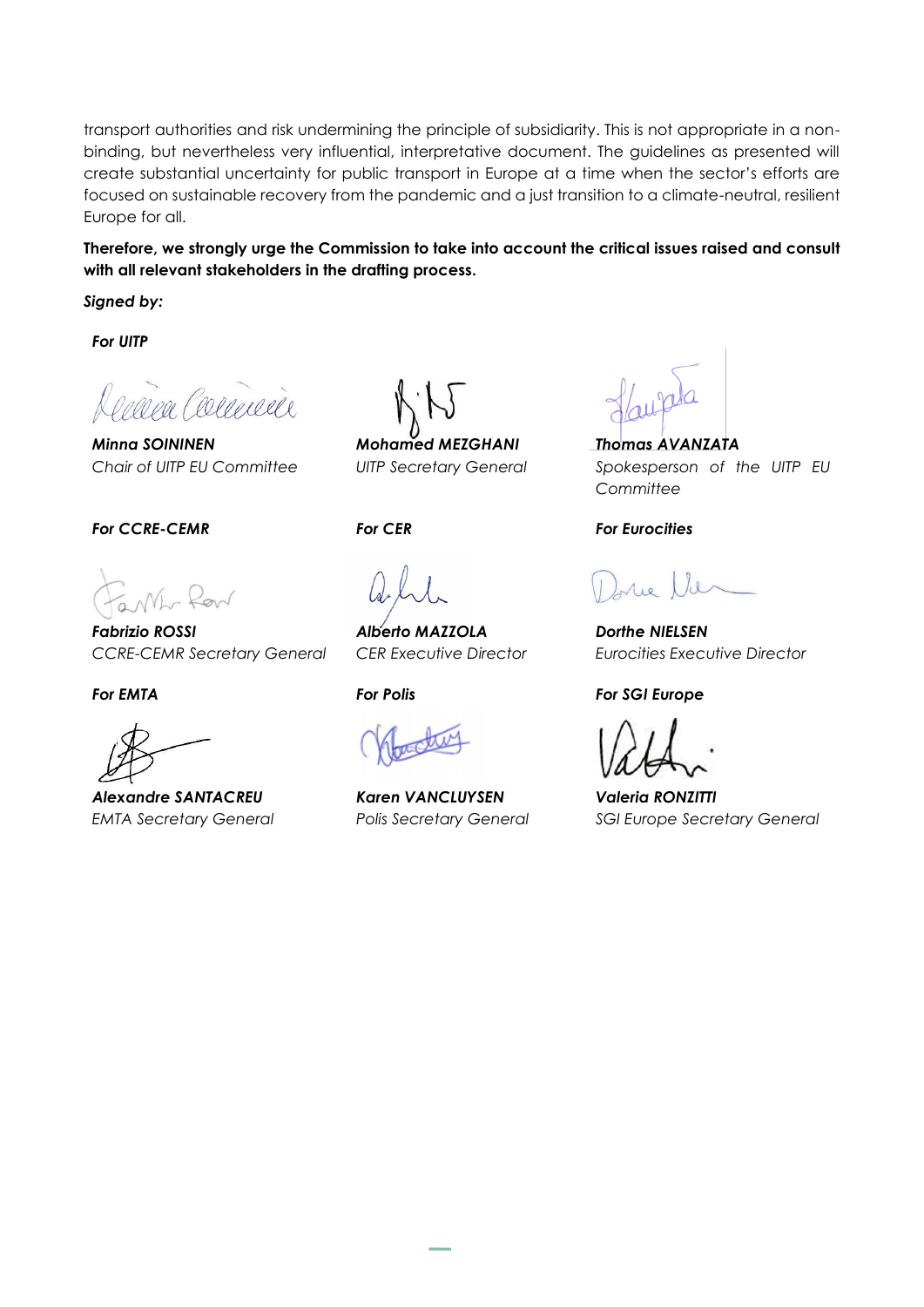transport authorities and risk undermining the principle of subsidiarity. This is not appropriate in a nonbinding, but nevertheless very influential, interpretative document. The guidelines as presented will create substantial uncertainty for public transport in Europe at a time when the sector's efforts are focused on sustainable recovery from the pandemic and a just transition to a climate-neutral, resilient Europe for all.

### **Therefore, we strongly urge the Commission to take into account the critical issues raised and consult with all relevant stakeholders in the drafting process.**

*Signed by:*

*For UITP*

rea Commence

*Minna SOININEN Chair of UITP EU Committee*

*For CCRE-CEMR For CER For Eurocities*

*Fabrizio ROSSI CCRE-CEMR Secretary General*

*Alexandre SANTACREU EMTA Secretary General*

*Mohamed MEZGHANI UITP Secretary General*

*Alberto MAZZOLA CER Executive Director*

*Karen VANCLUYSEN Polis Secretary General*

*Thomas AVANZATA Spokesperson of the UITP EU Committee*

*Dorthe NIELSEN Eurocities Executive Director* 

### *For EMTA For Polis For SGI Europe*

*Valeria RONZITTI SGI Europe Secretary General*